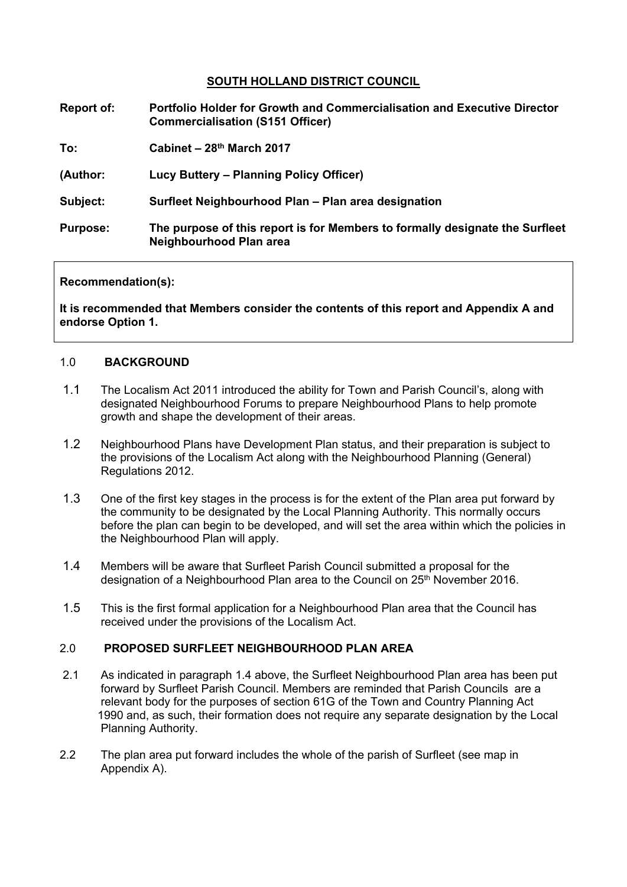### **SOUTH HOLLAND DISTRICT COUNCIL**

| <b>Report of:</b> | <b>Portfolio Holder for Growth and Commercialisation and Executive Director</b><br><b>Commercialisation (S151 Officer)</b> |
|-------------------|----------------------------------------------------------------------------------------------------------------------------|
| To:               | Cabinet – $28th$ March 2017                                                                                                |
| (Author:          | Lucy Buttery – Planning Policy Officer)                                                                                    |
| Subject:          | Surfleet Neighbourhood Plan - Plan area designation                                                                        |
| <b>Purpose:</b>   | The purpose of this report is for Members to formally designate the Surfleet<br>Neighbourhood Plan area                    |

#### **Recommendation(s):**

**It is recommended that Members consider the contents of this report and Appendix A and endorse Option 1.**

#### 1.0 **BACKGROUND**

- 1.1 The Localism Act 2011 introduced the ability for Town and Parish Council's, along with designated Neighbourhood Forums to prepare Neighbourhood Plans to help promote growth and shape the development of their areas.
- 1.2 Neighbourhood Plans have Development Plan status, and their preparation is subject to the provisions of the Localism Act along with the Neighbourhood Planning (General) Regulations 2012.
- 1.3 One of the first key stages in the process is for the extent of the Plan area put forward by the community to be designated by the Local Planning Authority. This normally occurs before the plan can begin to be developed, and will set the area within which the policies in the Neighbourhood Plan will apply.
- 1.4 Members will be aware that Surfleet Parish Council submitted a proposal for the designation of a Neighbourhood Plan area to the Council on 25<sup>th</sup> November 2016.
- 1.5 This is the first formal application for a Neighbourhood Plan area that the Council has received under the provisions of the Localism Act.

### 2.0 **PROPOSED SURFLEET NEIGHBOURHOOD PLAN AREA**

- 2.1 As indicated in paragraph 1.4 above, the Surfleet Neighbourhood Plan area has been put forward by Surfleet Parish Council. Members are reminded that Parish Councils are a relevant body for the purposes of section 61G of the Town and Country Planning Act 1990 and, as such, their formation does not require any separate designation by the Local Planning Authority.
- 2.2 The plan area put forward includes the whole of the parish of Surfleet (see map in Appendix A).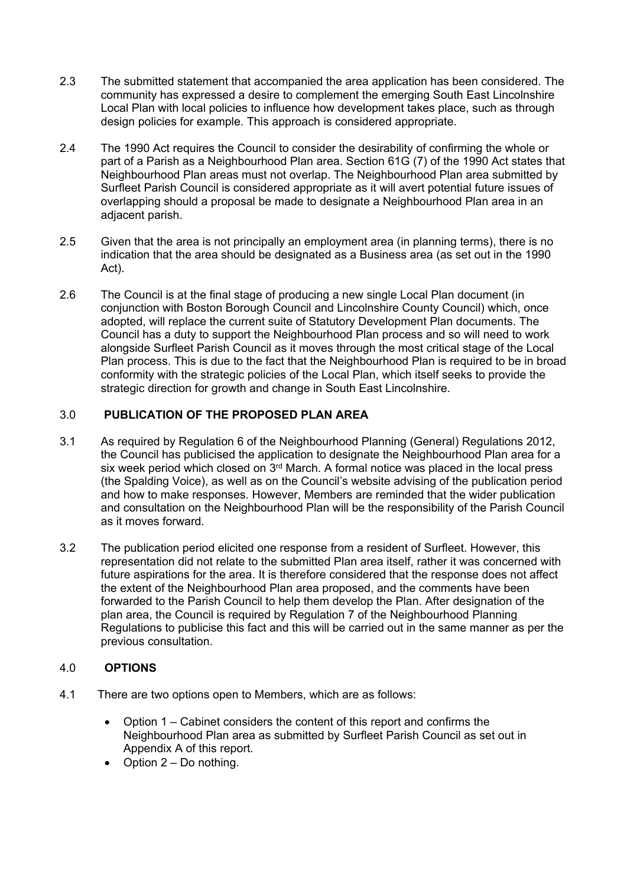- 2.3 The submitted statement that accompanied the area application has been considered. The community has expressed a desire to complement the emerging South East Lincolnshire Local Plan with local policies to influence how development takes place, such as through design policies for example. This approach is considered appropriate.
- 2.4 The 1990 Act requires the Council to consider the desirability of confirming the whole or part of a Parish as a Neighbourhood Plan area. Section 61G (7) of the 1990 Act states that Neighbourhood Plan areas must not overlap. The Neighbourhood Plan area submitted by Surfleet Parish Council is considered appropriate as it will avert potential future issues of overlapping should a proposal be made to designate a Neighbourhood Plan area in an adjacent parish.
- 2.5 Given that the area is not principally an employment area (in planning terms), there is no indication that the area should be designated as a Business area (as set out in the 1990 Act).
- 2.6 The Council is at the final stage of producing a new single Local Plan document (in conjunction with Boston Borough Council and Lincolnshire County Council) which, once adopted, will replace the current suite of Statutory Development Plan documents. The Council has a duty to support the Neighbourhood Plan process and so will need to work alongside Surfleet Parish Council as it moves through the most critical stage of the Local Plan process. This is due to the fact that the Neighbourhood Plan is required to be in broad conformity with the strategic policies of the Local Plan, which itself seeks to provide the strategic direction for growth and change in South East Lincolnshire.

# 3.0 **PUBLICATION OF THE PROPOSED PLAN AREA**

- 3.1 As required by Regulation 6 of the Neighbourhood Planning (General) Regulations 2012, the Council has publicised the application to designate the Neighbourhood Plan area for a six week period which closed on 3<sup>rd</sup> March. A formal notice was placed in the local press (the Spalding Voice), as well as on the Council's website advising of the publication period and how to make responses. However, Members are reminded that the wider publication and consultation on the Neighbourhood Plan will be the responsibility of the Parish Council as it moves forward.
- 3.2 The publication period elicited one response from a resident of Surfleet. However, this representation did not relate to the submitted Plan area itself, rather it was concerned with future aspirations for the area. It is therefore considered that the response does not affect the extent of the Neighbourhood Plan area proposed, and the comments have been forwarded to the Parish Council to help them develop the Plan. After designation of the plan area, the Council is required by Regulation 7 of the Neighbourhood Planning Regulations to publicise this fact and this will be carried out in the same manner as per the previous consultation.

### 4.0 **OPTIONS**

- 4.1 There are two options open to Members, which are as follows:
	- Option 1 Cabinet considers the content of this report and confirms the Neighbourhood Plan area as submitted by Surfleet Parish Council as set out in Appendix A of this report.
	- Option  $2 Do$  nothing.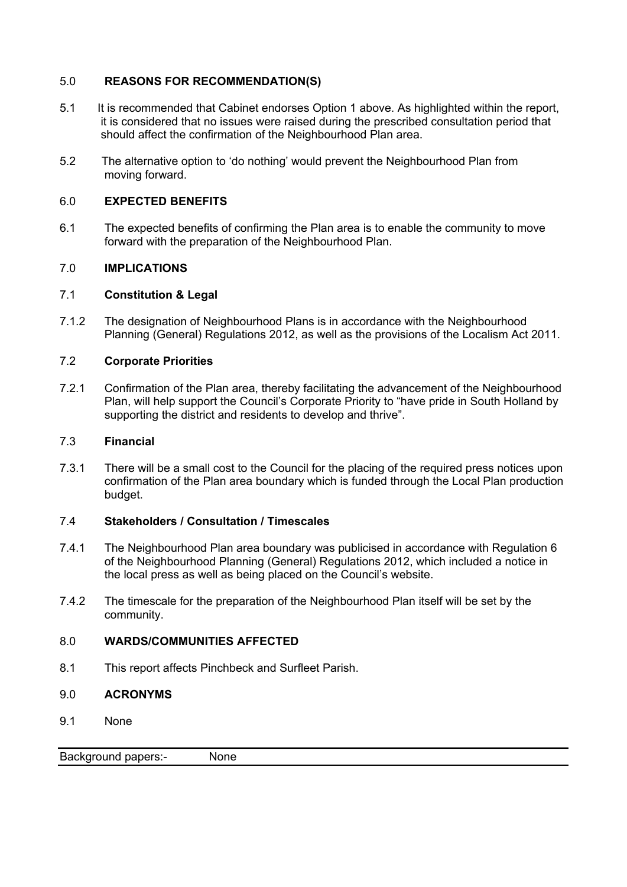### 5.0 **REASONS FOR RECOMMENDATION(S)**

- 5.1 It is recommended that Cabinet endorses Option 1 above. As highlighted within the report, it is considered that no issues were raised during the prescribed consultation period that should affect the confirmation of the Neighbourhood Plan area.
- 5.2 The alternative option to 'do nothing' would prevent the Neighbourhood Plan from moving forward.

## 6.0 **EXPECTED BENEFITS**

6.1 The expected benefits of confirming the Plan area is to enable the community to move forward with the preparation of the Neighbourhood Plan.

## 7.0 **IMPLICATIONS**

### 7.1 **Constitution & Legal**

7.1.2 The designation of Neighbourhood Plans is in accordance with the Neighbourhood Planning (General) Regulations 2012, as well as the provisions of the Localism Act 2011.

### 7.2 **Corporate Priorities**

7.2.1 Confirmation of the Plan area, thereby facilitating the advancement of the Neighbourhood Plan, will help support the Council's Corporate Priority to "have pride in South Holland by supporting the district and residents to develop and thrive".

### 7.3 **Financial**

7.3.1 There will be a small cost to the Council for the placing of the required press notices upon confirmation of the Plan area boundary which is funded through the Local Plan production budget.

### 7.4 **Stakeholders / Consultation / Timescales**

- 7.4.1 The Neighbourhood Plan area boundary was publicised in accordance with Regulation 6 of the Neighbourhood Planning (General) Regulations 2012, which included a notice in the local press as well as being placed on the Council's website.
- 7.4.2 The timescale for the preparation of the Neighbourhood Plan itself will be set by the community.

### 8.0 **WARDS/COMMUNITIES AFFECTED**

- 8.1 This report affects Pinchbeck and Surfleet Parish.
- 9.0 **ACRONYMS**
- 9.1 None

Background papers:- None